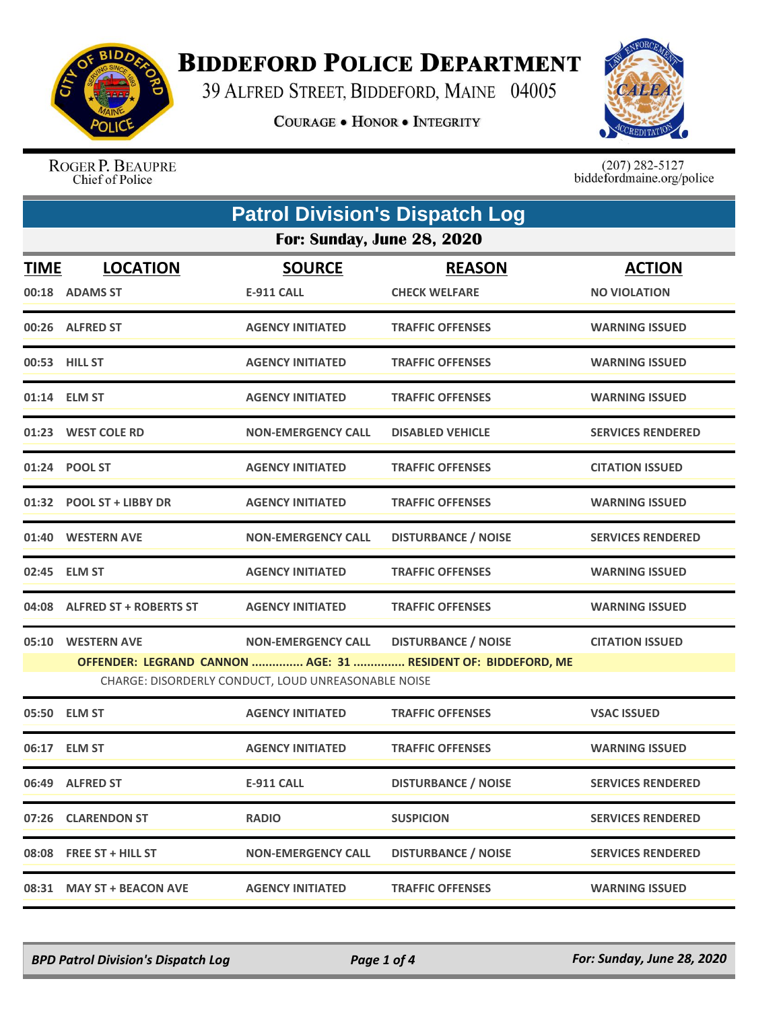

## **BIDDEFORD POLICE DEPARTMENT**

39 ALFRED STREET, BIDDEFORD, MAINE 04005

**COURAGE . HONOR . INTEGRITY** 



ROGER P. BEAUPRE Chief of Police

 $(207)$  282-5127<br>biddefordmaine.org/police

| <b>Patrol Division's Dispatch Log</b>                                                                                |                                   |                           |                            |                          |  |  |  |
|----------------------------------------------------------------------------------------------------------------------|-----------------------------------|---------------------------|----------------------------|--------------------------|--|--|--|
|                                                                                                                      | <b>For: Sunday, June 28, 2020</b> |                           |                            |                          |  |  |  |
| <b>TIME</b>                                                                                                          | <b>LOCATION</b>                   | <b>SOURCE</b>             | <b>REASON</b>              | <b>ACTION</b>            |  |  |  |
|                                                                                                                      | 00:18 ADAMS ST                    | E-911 CALL                | <b>CHECK WELFARE</b>       | <b>NO VIOLATION</b>      |  |  |  |
|                                                                                                                      | 00:26 ALFRED ST                   | <b>AGENCY INITIATED</b>   | <b>TRAFFIC OFFENSES</b>    | <b>WARNING ISSUED</b>    |  |  |  |
|                                                                                                                      | 00:53 HILL ST                     | <b>AGENCY INITIATED</b>   | <b>TRAFFIC OFFENSES</b>    | <b>WARNING ISSUED</b>    |  |  |  |
|                                                                                                                      | 01:14 ELM ST                      | <b>AGENCY INITIATED</b>   | <b>TRAFFIC OFFENSES</b>    | <b>WARNING ISSUED</b>    |  |  |  |
|                                                                                                                      | 01:23 WEST COLE RD                | <b>NON-EMERGENCY CALL</b> | <b>DISABLED VEHICLE</b>    | <b>SERVICES RENDERED</b> |  |  |  |
|                                                                                                                      | 01:24 POOL ST                     | <b>AGENCY INITIATED</b>   | <b>TRAFFIC OFFENSES</b>    | <b>CITATION ISSUED</b>   |  |  |  |
|                                                                                                                      | 01:32 POOL ST + LIBBY DR          | <b>AGENCY INITIATED</b>   | <b>TRAFFIC OFFENSES</b>    | <b>WARNING ISSUED</b>    |  |  |  |
|                                                                                                                      | 01:40 WESTERN AVE                 | <b>NON-EMERGENCY CALL</b> | <b>DISTURBANCE / NOISE</b> | <b>SERVICES RENDERED</b> |  |  |  |
|                                                                                                                      | 02:45 ELM ST                      | <b>AGENCY INITIATED</b>   | <b>TRAFFIC OFFENSES</b>    | <b>WARNING ISSUED</b>    |  |  |  |
|                                                                                                                      | 04:08 ALFRED ST + ROBERTS ST      | <b>AGENCY INITIATED</b>   | <b>TRAFFIC OFFENSES</b>    | <b>WARNING ISSUED</b>    |  |  |  |
|                                                                                                                      | 05:10 WESTERN AVE                 | <b>NON-EMERGENCY CALL</b> | <b>DISTURBANCE / NOISE</b> | <b>CITATION ISSUED</b>   |  |  |  |
| OFFENDER: LEGRAND CANNON  AGE: 31  RESIDENT OF: BIDDEFORD, ME<br>CHARGE: DISORDERLY CONDUCT, LOUD UNREASONABLE NOISE |                                   |                           |                            |                          |  |  |  |
|                                                                                                                      | 05:50 ELM ST                      | <b>AGENCY INITIATED</b>   | <b>TRAFFIC OFFENSES</b>    | <b>VSAC ISSUED</b>       |  |  |  |
|                                                                                                                      | 06:17 ELM ST                      | <b>AGENCY INITIATED</b>   | <b>TRAFFIC OFFENSES</b>    | <b>WARNING ISSUED</b>    |  |  |  |
|                                                                                                                      | 06:49 ALFRED ST                   | <b>E-911 CALL</b>         | <b>DISTURBANCE / NOISE</b> | <b>SERVICES RENDERED</b> |  |  |  |
| 07:26                                                                                                                | <b>CLARENDON ST</b>               | <b>RADIO</b>              | <b>SUSPICION</b>           | <b>SERVICES RENDERED</b> |  |  |  |
|                                                                                                                      | 08:08 FREE ST + HILL ST           | <b>NON-EMERGENCY CALL</b> | <b>DISTURBANCE / NOISE</b> | <b>SERVICES RENDERED</b> |  |  |  |
|                                                                                                                      | 08:31 MAY ST + BEACON AVE         | <b>AGENCY INITIATED</b>   | <b>TRAFFIC OFFENSES</b>    | <b>WARNING ISSUED</b>    |  |  |  |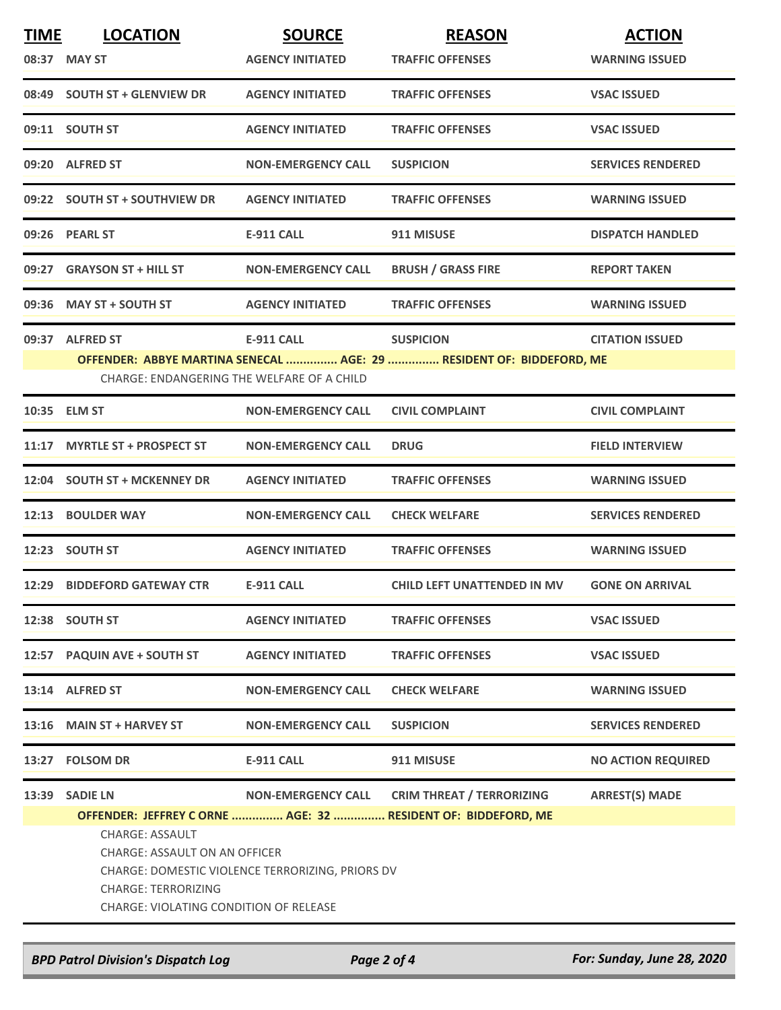| <u>TIME</u> | <b>LOCATION</b><br>08:37 MAY ST                                                                                                                                                                                  | <b>SOURCE</b><br><b>AGENCY INITIATED</b> | <b>REASON</b><br><b>TRAFFIC OFFENSES</b>                             | <b>ACTION</b><br><b>WARNING ISSUED</b> |  |
|-------------|------------------------------------------------------------------------------------------------------------------------------------------------------------------------------------------------------------------|------------------------------------------|----------------------------------------------------------------------|----------------------------------------|--|
|             | 08:49 SOUTH ST + GLENVIEW DR                                                                                                                                                                                     | <b>AGENCY INITIATED</b>                  | <b>TRAFFIC OFFENSES</b>                                              | <b>VSAC ISSUED</b>                     |  |
|             | 09:11 SOUTH ST                                                                                                                                                                                                   | <b>AGENCY INITIATED</b>                  | <b>TRAFFIC OFFENSES</b>                                              | <b>VSAC ISSUED</b>                     |  |
|             | 09:20 ALFRED ST                                                                                                                                                                                                  | <b>NON-EMERGENCY CALL</b>                | <b>SUSPICION</b>                                                     | <b>SERVICES RENDERED</b>               |  |
|             | 09:22 SOUTH ST + SOUTHVIEW DR                                                                                                                                                                                    | <b>AGENCY INITIATED</b>                  | <b>TRAFFIC OFFENSES</b>                                              | <b>WARNING ISSUED</b>                  |  |
|             | 09:26 PEARL ST                                                                                                                                                                                                   | <b>E-911 CALL</b>                        | 911 MISUSE                                                           | <b>DISPATCH HANDLED</b>                |  |
| 09:27       | <b>GRAYSON ST + HILL ST</b>                                                                                                                                                                                      | <b>NON-EMERGENCY CALL</b>                | <b>BRUSH / GRASS FIRE</b>                                            | <b>REPORT TAKEN</b>                    |  |
|             | 09:36 MAY ST + SOUTH ST                                                                                                                                                                                          | <b>AGENCY INITIATED</b>                  | <b>TRAFFIC OFFENSES</b>                                              | <b>WARNING ISSUED</b>                  |  |
|             | 09:37 ALFRED ST                                                                                                                                                                                                  | <b>E-911 CALL</b>                        | <b>SUSPICION</b>                                                     | <b>CITATION ISSUED</b>                 |  |
|             | CHARGE: ENDANGERING THE WELFARE OF A CHILD                                                                                                                                                                       |                                          | OFFENDER: ABBYE MARTINA SENECAL  AGE: 29  RESIDENT OF: BIDDEFORD, ME |                                        |  |
|             | 10:35 ELM ST                                                                                                                                                                                                     | <b>NON-EMERGENCY CALL</b>                | <b>CIVIL COMPLAINT</b>                                               | <b>CIVIL COMPLAINT</b>                 |  |
| 11:17       | <b>MYRTLE ST + PROSPECT ST</b>                                                                                                                                                                                   | <b>NON-EMERGENCY CALL</b>                | <b>DRUG</b>                                                          | <b>FIELD INTERVIEW</b>                 |  |
|             | 12:04 SOUTH ST + MCKENNEY DR                                                                                                                                                                                     | <b>AGENCY INITIATED</b>                  | <b>TRAFFIC OFFENSES</b>                                              | <b>WARNING ISSUED</b>                  |  |
| 12:13       | <b>BOULDER WAY</b>                                                                                                                                                                                               | <b>NON-EMERGENCY CALL</b>                | <b>CHECK WELFARE</b>                                                 | <b>SERVICES RENDERED</b>               |  |
|             | 12:23 SOUTH ST                                                                                                                                                                                                   | <b>AGENCY INITIATED</b>                  | <b>TRAFFIC OFFENSES</b>                                              | <b>WARNING ISSUED</b>                  |  |
|             | 12:29 BIDDEFORD GATEWAY CTR                                                                                                                                                                                      | <b>E-911 CALL</b>                        | <b>CHILD LEFT UNATTENDED IN MV</b>                                   | <b>GONE ON ARRIVAL</b>                 |  |
|             | 12:38 SOUTH ST                                                                                                                                                                                                   | <b>AGENCY INITIATED</b>                  | <b>TRAFFIC OFFENSES</b>                                              | <b>VSAC ISSUED</b>                     |  |
|             | 12:57 PAQUIN AVE + SOUTH ST                                                                                                                                                                                      | <b>AGENCY INITIATED</b>                  | <b>TRAFFIC OFFENSES</b>                                              | <b>VSAC ISSUED</b>                     |  |
|             | 13:14 ALFRED ST                                                                                                                                                                                                  | <b>NON-EMERGENCY CALL</b>                | <b>CHECK WELFARE</b>                                                 | <b>WARNING ISSUED</b>                  |  |
|             | 13:16 MAIN ST + HARVEY ST                                                                                                                                                                                        | <b>NON-EMERGENCY CALL</b>                | <b>SUSPICION</b>                                                     | <b>SERVICES RENDERED</b>               |  |
|             | 13:27 FOLSOM DR                                                                                                                                                                                                  | <b>E-911 CALL</b>                        | 911 MISUSE                                                           | <b>NO ACTION REQUIRED</b>              |  |
| 13:39       | <b>SADIE LN</b>                                                                                                                                                                                                  | <b>NON-EMERGENCY CALL</b>                | <b>CRIM THREAT / TERRORIZING</b>                                     | <b>ARREST(S) MADE</b>                  |  |
|             | OFFENDER: JEFFREY CORNE  AGE: 32  RESIDENT OF: BIDDEFORD, ME<br><b>CHARGE: ASSAULT</b><br><b>CHARGE: ASSAULT ON AN OFFICER</b><br>CHARGE: DOMESTIC VIOLENCE TERRORIZING, PRIORS DV<br><b>CHARGE: TERRORIZING</b> |                                          |                                                                      |                                        |  |
|             | <b>CHARGE: VIOLATING CONDITION OF RELEASE</b>                                                                                                                                                                    |                                          |                                                                      |                                        |  |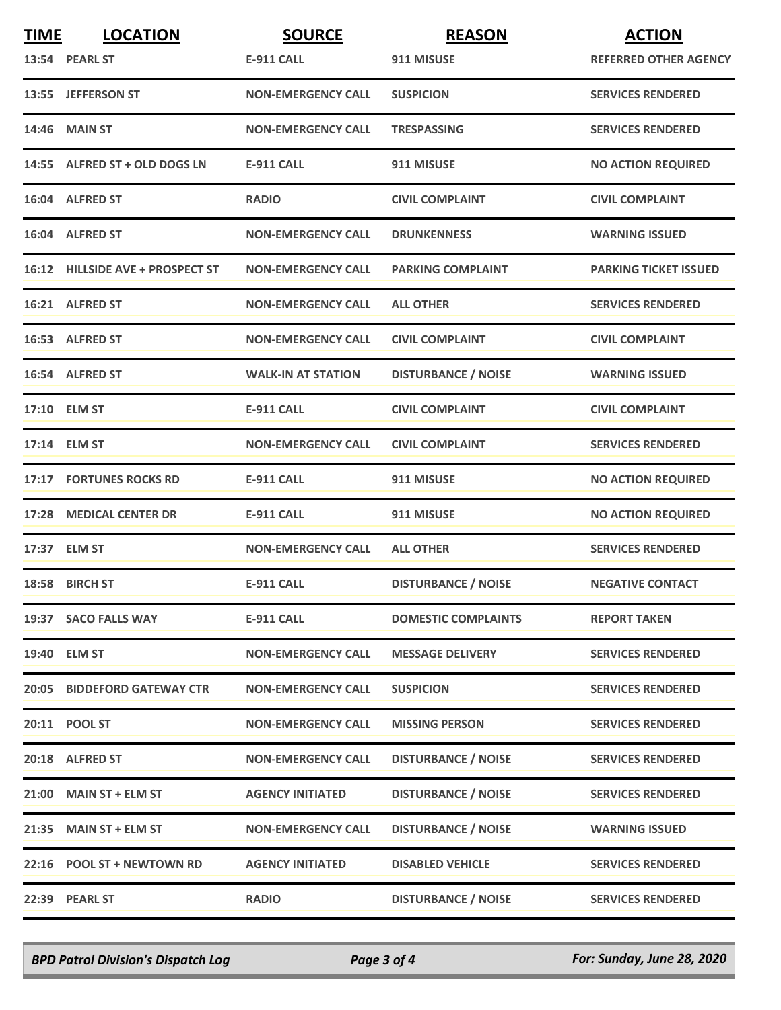| <b>TIME</b> | <b>LOCATION</b>                  | <b>SOURCE</b>             | <b>REASON</b>              | <b>ACTION</b>                |
|-------------|----------------------------------|---------------------------|----------------------------|------------------------------|
|             | 13:54 PEARL ST                   | <b>E-911 CALL</b>         | 911 MISUSE                 | <b>REFERRED OTHER AGENCY</b> |
|             | 13:55 JEFFERSON ST               | <b>NON-EMERGENCY CALL</b> | <b>SUSPICION</b>           | <b>SERVICES RENDERED</b>     |
|             | 14:46 MAIN ST                    | <b>NON-EMERGENCY CALL</b> | <b>TRESPASSING</b>         | <b>SERVICES RENDERED</b>     |
|             | 14:55 ALFRED ST + OLD DOGS LN    | <b>E-911 CALL</b>         | 911 MISUSE                 | <b>NO ACTION REQUIRED</b>    |
|             | 16:04 ALFRED ST                  | <b>RADIO</b>              | <b>CIVIL COMPLAINT</b>     | <b>CIVIL COMPLAINT</b>       |
|             | 16:04 ALFRED ST                  | <b>NON-EMERGENCY CALL</b> | <b>DRUNKENNESS</b>         | <b>WARNING ISSUED</b>        |
|             | 16:12 HILLSIDE AVE + PROSPECT ST | <b>NON-EMERGENCY CALL</b> | <b>PARKING COMPLAINT</b>   | <b>PARKING TICKET ISSUED</b> |
|             | 16:21 ALFRED ST                  | <b>NON-EMERGENCY CALL</b> | <b>ALL OTHER</b>           | <b>SERVICES RENDERED</b>     |
|             | 16:53 ALFRED ST                  | <b>NON-EMERGENCY CALL</b> | <b>CIVIL COMPLAINT</b>     | <b>CIVIL COMPLAINT</b>       |
|             | 16:54 ALFRED ST                  | <b>WALK-IN AT STATION</b> | <b>DISTURBANCE / NOISE</b> | <b>WARNING ISSUED</b>        |
|             | 17:10 ELM ST                     | <b>E-911 CALL</b>         | <b>CIVIL COMPLAINT</b>     | <b>CIVIL COMPLAINT</b>       |
|             | 17:14 ELM ST                     | <b>NON-EMERGENCY CALL</b> | <b>CIVIL COMPLAINT</b>     | <b>SERVICES RENDERED</b>     |
|             | <b>17:17 FORTUNES ROCKS RD</b>   | <b>E-911 CALL</b>         | 911 MISUSE                 | <b>NO ACTION REQUIRED</b>    |
|             | 17:28 MEDICAL CENTER DR          | <b>E-911 CALL</b>         | 911 MISUSE                 | <b>NO ACTION REQUIRED</b>    |
|             | 17:37 ELM ST                     | <b>NON-EMERGENCY CALL</b> | <b>ALL OTHER</b>           | <b>SERVICES RENDERED</b>     |
|             | 18:58 BIRCH ST                   | <b>E-911 CALL</b>         | <b>DISTURBANCE / NOISE</b> | <b>NEGATIVE CONTACT</b>      |
|             | 19:37 SACO FALLS WAY             | <b>E-911 CALL</b>         | <b>DOMESTIC COMPLAINTS</b> | <b>REPORT TAKEN</b>          |
|             | 19:40 ELM ST                     | <b>NON-EMERGENCY CALL</b> | <b>MESSAGE DELIVERY</b>    | <b>SERVICES RENDERED</b>     |
|             | 20:05 BIDDEFORD GATEWAY CTR      | <b>NON-EMERGENCY CALL</b> | <b>SUSPICION</b>           | <b>SERVICES RENDERED</b>     |
|             | 20:11 POOL ST                    | <b>NON-EMERGENCY CALL</b> | <b>MISSING PERSON</b>      | <b>SERVICES RENDERED</b>     |
|             | 20:18 ALFRED ST                  | <b>NON-EMERGENCY CALL</b> | <b>DISTURBANCE / NOISE</b> | <b>SERVICES RENDERED</b>     |
|             | 21:00 MAIN ST + ELM ST           | <b>AGENCY INITIATED</b>   | <b>DISTURBANCE / NOISE</b> | <b>SERVICES RENDERED</b>     |
|             | 21:35 MAIN ST + ELM ST           | <b>NON-EMERGENCY CALL</b> | <b>DISTURBANCE / NOISE</b> | <b>WARNING ISSUED</b>        |
|             | 22:16 POOL ST + NEWTOWN RD       | <b>AGENCY INITIATED</b>   | <b>DISABLED VEHICLE</b>    | <b>SERVICES RENDERED</b>     |
|             | 22:39 PEARL ST                   | <b>RADIO</b>              | <b>DISTURBANCE / NOISE</b> | <b>SERVICES RENDERED</b>     |

*BPD Patrol Division's Dispatch Log Page 3 of 4 For: Sunday, June 28, 2020*